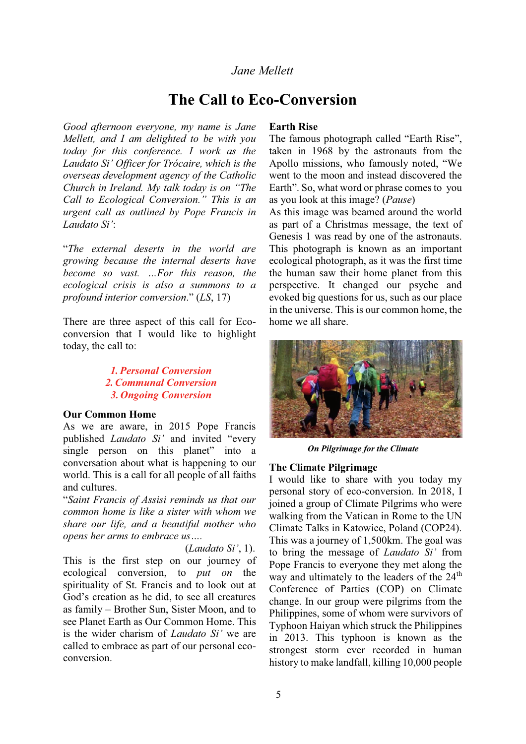# *Jane Mellett*

# **The Call to Eco-Conversion**

*Good afternoon everyone, my name is Jane Mellett, and I am delighted to be with you today for this conference. I work as the Laudato Si' Officer for Trócaire, which is the overseas development agency of the Catholic Church in Ireland. My talk today is on "The Call to Ecological Conversion.*<sup>"</sup> *This is an urgent call as outlined by Pope Francis in Laudato Si*<sup>2</sup>:

³*The external deserts in the world are growing because the internal deserts have become so vast. ...For this reason, the ecological crisis is also a summons to a profound interior conversion.*" (*LS*, 17)

There are three aspect of this call for Ecoconversion that I would like to highlight today, the call to:

# *1.Personal Conversion 2.Communal Conversion 3. Ongoing Conversion*

#### **Our Common Home**

As we are aware, in 2015 Pope Francis published *Laudato Si'* and invited "every single person on this planet" into a conversation about what is happening to our world. This is a call for all people of all faiths and cultures.

³*Saint Francis of Assisi reminds us that our common home is like a sister with whom we share our life, and a beautiful mother who opens her arms to embrace us....* 

*(Laudato Si', 1).* This is the first step on our journey of ecological conversion, to *put on* the spirituality of St. Francis and to look out at God's creation as he did, to see all creatures as family – Brother Sun, Sister Moon, and to see Planet Earth as Our Common Home. This is the wider charism of *Laudato Si'* we are called to embrace as part of our personal ecoconversion.

#### **Earth Rise**

The famous photograph called "Earth Rise", taken in 1968 by the astronauts from the Apollo missions, who famously noted, "We went to the moon and instead discovered the Earth". So, what word or phrase comes to you as you look at this image? (*Pause*)

As this image was beamed around the world as part of a Christmas message, the text of Genesis 1 was read by one of the astronauts. This photograph is known as an important ecological photograph, as it was the first time the human saw their home planet from this perspective. It changed our psyche and evoked big questions for us, such as our place in the universe. This is our common home, the home we all share.



*On Pilgrimage for the Climate*

#### **The Climate Pilgrimage**

I would like to share with you today my personal story of eco-conversion. In 2018, I joined a group of Climate Pilgrims who were walking from the Vatican in Rome to the UN Climate Talks in Katowice, Poland (COP24). This was a journey of 1,500km. The goal was to bring the message of *Laudato Si'* from Pope Francis to everyone they met along the way and ultimately to the leaders of the 24<sup>th</sup> Conference of Parties (COP) on Climate change. In our group were pilgrims from the Philippines, some of whom were survivors of Typhoon Haiyan which struck the Philippines in 2013. This typhoon is known as the strongest storm ever recorded in human history to make landfall, killing 10,000 people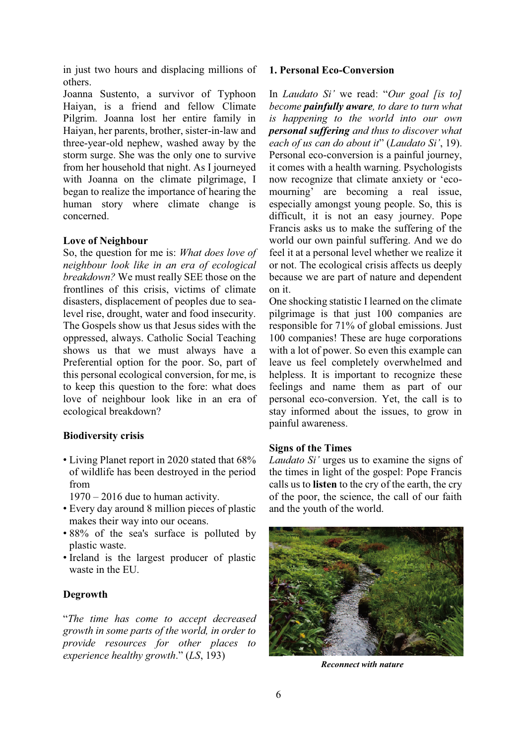in just two hours and displacing millions of others.

Joanna Sustento, a survivor of Typhoon Haiyan, is a friend and fellow Climate Pilgrim. Joanna lost her entire family in Haiyan, her parents, brother, sister-in-law and three-year-old nephew, washed away by the storm surge. She was the only one to survive from her household that night. As I journeyed with Joanna on the climate pilgrimage, I began to realize the importance of hearing the human story where climate change is concerned.

#### **Love of Neighbour**

So, the question for me is: *What does love of neighbour look like in an era of ecological breakdown?* We must really SEE those on the frontlines of this crisis, victims of climate disasters, displacement of peoples due to sealevel rise, drought, water and food insecurity. The Gospels show us that Jesus sides with the oppressed, always. Catholic Social Teaching shows us that we must always have a Preferential option for the poor. So, part of this personal ecological conversion, for me, is to keep this question to the fore: what does love of neighbour look like in an era of ecological breakdown?

### **Biodiversity crisis**

- Living Planet report in 2020 stated that 68% of wildlife has been destroyed in the period from
	- $1970 2016$  due to human activity.
- Every day around 8 million pieces of plastic makes their way into our oceans.
- 88% of the sea's surface is polluted by plastic waste.
- Ireland is the largest producer of plastic waste in the EU.

### **Degrowth**

³*The time has come to accept decreased growth in some parts of the world, in order to provide resources for other places to experience healthy growth*´*LS*, 193)

#### **1. Personal Eco-Conversion**

In *Laudato Si'* we read: "Our goal [is to] *become painfully aware, to dare to turn what is happening to the world into our own personal suffering and thus to discover what each of us can do about it*" (*Laudato Si*<sup>'</sup>, 19). Personal eco-conversion is a painful journey, it comes with a health warning. Psychologists now recognize that climate anxiety or 'ecomourning' are becoming a real issue, especially amongst young people. So, this is difficult, it is not an easy journey. Pope Francis asks us to make the suffering of the world our own painful suffering. And we do feel it at a personal level whether we realize it or not. The ecological crisis affects us deeply because we are part of nature and dependent on it.

One shocking statistic I learned on the climate pilgrimage is that just 100 companies are responsible for 71% of global emissions. Just 100 companies! These are huge corporations with a lot of power. So even this example can leave us feel completely overwhelmed and helpless. It is important to recognize these feelings and name them as part of our personal eco-conversion. Yet, the call is to stay informed about the issues, to grow in painful awareness.

#### **Signs of the Times**

*Laudato Si'* urges us to examine the signs of the times in light of the gospel: Pope Francis calls us to **listen** to the cry of the earth, the cry of the poor, the science, the call of our faith and the youth of the world.



*Reconnect with nature*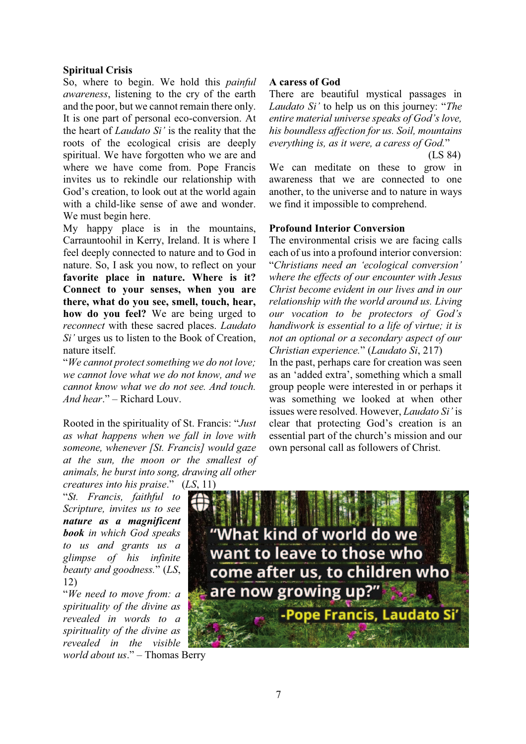### **Spiritual Crisis**

So, where to begin. We hold this *painful awareness*, listening to the cry of the earth and the poor, but we cannot remain there only. It is one part of personal eco-conversion. At the heart of *Laudato Si¶* is the reality that the roots of the ecological crisis are deeply spiritual. We have forgotten who we are and where we have come from. Pope Francis invites us to rekindle our relationship with God's creation, to look out at the world again with a child-like sense of awe and wonder. We must begin here.

My happy place is in the mountains, Carrauntoohil in Kerry, Ireland. It is where I feel deeply connected to nature and to God in nature. So, I ask you now, to reflect on your **favorite place in nature. Where is it? Connect to your senses, when you are there, what do you see, smell, touch, hear, how do you feel?** We are being urged to *reconnect* with these sacred places. *Laudato Si*<sup> $'$ </sup> urges us to listen to the Book of Creation, nature itself.

³*We cannot protect something we do not love; we cannot love what we do not know, and we cannot know what we do not see. And touch. And hear*." – Richard Louv.

Rooted in the spirituality of St. Francis: "Just *as what happens when we fall in love with someone, whenever [St. Francis] would gaze at the sun, the moon or the smallest of animals, he burst into song, drawing all other creatures into his praise.*" (*LS*, 11)

³*St. Francis, faithful to Scripture, invites us to see nature as a magnificent book in which God speaks to us and grants us a glimpse of his infinite beauty and goodness.*´*LS*, 12)

³*We need to move from: a spirituality of the divine as revealed in words to a spirituality of the divine as revealed in the visible world about us.*" – Thomas Berry

#### **A caress of God**

There are beautiful mystical passages in *Laudato Si'* to help us on this journey: "*The entire material universe speaks of God's love, his boundless affection for us. Soil, mountains everything is, as it were, a caress of God.*´

(LS 84)

We can meditate on these to grow in awareness that we are connected to one another, to the universe and to nature in ways we find it impossible to comprehend.

#### **Profound Interior Conversion**

The environmental crisis we are facing calls each of us into a profound interior conversion: *<sup><i>A</sup>*Christians need an 'ecological conversion'</sup> *where the effects of our encounter with Jesus Christ become evident in our lives and in our relationship with the world around us. Living our* vocation to be protectors of God's *handiwork is essential to a life of virtue; it is not an optional or a secondary aspect of our Christian experience.*´*Laudato Si*, 217)

In the past, perhaps care for creation was seen as an 'added extra', something which a small group people were interested in or perhaps it was something we looked at when other issues were resolved. However, *Laudato Si'* is clear that protecting God's creation is an essential part of the church's mission and our own personal call as followers of Christ.

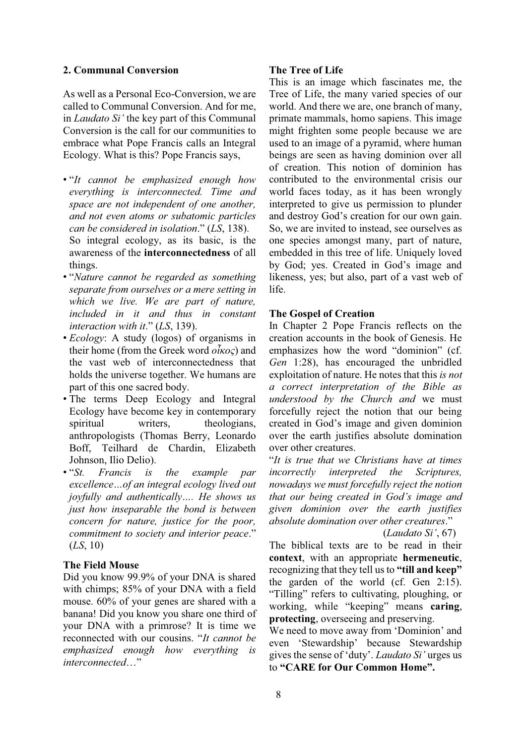### **2. Communal Conversion**

As well as a Personal Eco-Conversion, we are called to Communal Conversion. And for me, in *Laudato Si'* the key part of this Communal Conversion is the call for our communities to embrace what Pope Francis calls an Integral Ecology. What is this? Pope Francis says,

- ³*It cannot be emphasized enough how everything is interconnected. Time and space are not independent of one another, and not even atoms or subatomic particles can be considered in isolation*´*LS*, 138). So integral ecology, as its basic, is the awareness of the **interconnectedness** of all things.
- ³*Nature cannot be regarded as something separate from ourselves or a mere setting in which we live. We are part of nature, included in it and thus in constant interaction with it.*<sup>*'</sup></sup> (LS, 139).*</sup>
- *Ecology*: A study (logos) of organisms in their home (from the Greek word  $\tilde{o}_{KQ}$ ) and the vast web of interconnectedness that holds the universe together. We humans are part of this one sacred body.
- The terms Deep Ecology and Integral Ecology have become key in contemporary spiritual writers, theologians, anthropologists (Thomas Berry, Leonardo Boff, Teilhard de Chardin, Elizabeth Johnson, Ilio Delio).
- ³*St. Francis is the example par excellence...of an integral ecology lived out joyfully and authentically.... He shows us just how inseparable the bond is between concern for nature, justice for the poor, commitment to society and interior peace*´ (*LS*, 10)

# **The Field Mouse**

Did you know 99.9% of your DNA is shared with chimps; 85% of your DNA with a field mouse. 60% of your genes are shared with a banana! Did you know you share one third of your DNA with a primrose? It is time we reconnected with our cousins. "*It cannot be emphasized enough how everything is interconnected...*"

# **The Tree of Life**

This is an image which fascinates me, the Tree of Life, the many varied species of our world. And there we are, one branch of many, primate mammals, homo sapiens. This image might frighten some people because we are used to an image of a pyramid, where human beings are seen as having dominion over all of creation. This notion of dominion has contributed to the environmental crisis our world faces today, as it has been wrongly interpreted to give us permission to plunder and destroy God's creation for our own gain. So, we are invited to instead, see ourselves as one species amongst many, part of nature, embedded in this tree of life. Uniquely loved by God; yes. Created in God's image and likeness, yes; but also, part of a vast web of life.

# **The Gospel of Creation**

In Chapter 2 Pope Francis reflects on the creation accounts in the book of Genesis. He emphasizes how the word "dominion" (cf. *Gen* 1:28), has encouraged the unbridled exploitation of nature. He notes that this *is not a correct interpretation of the Bible as understood by the Church and* we must forcefully reject the notion that our being created in God's image and given dominion over the earth justifies absolute domination over other creatures.

³*It is true that we Christians have at times incorrectly interpreted the Scriptures, nowadays we must forcefully reject the notion that our being created in God's image and given dominion over the earth justifies absolute domination over other creatures*.´

*(Laudato Si', 67)* 

The biblical texts are to be read in their **context**, with an appropriate **hermeneutic**, recognizing that they tell us to "till and keep" the garden of the world (cf. Gen 2:15). "Tilling" refers to cultivating, ploughing, or working, while "keeping" means caring, **protecting**, overseeing and preserving.

We need to move away from 'Dominion' and even 'Stewardship' because Stewardship gives the sense of 'duty'. *Laudato Si* 'urges us to "CARE for Our Common Home".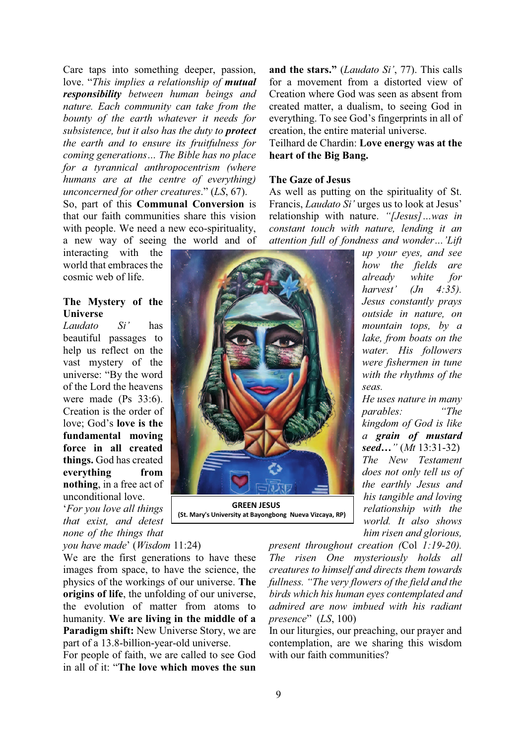Care taps into something deeper, passion, love. "This implies a relationship of **mutual** *responsibility between human beings and nature. Each community can take from the bounty of the earth whatever it needs for subsistence, but it also has the duty to protect the earth and to ensure its fruitfulness for coming generations... The Bible has no place for a tyrannical anthropocentrism (where humans are at the centre of everything) unconcerned for other creatures*´*LS*, 67). So, part of this **Communal Conversion** is

that our faith communities share this vision with people. We need a new eco-spirituality. a new way of seeing the world and of

interacting with the world that embraces the cosmic web of life.

### **The Mystery of the Universe**

*Laudato* Si' has beautiful passages to help us reflect on the vast mystery of the universe: "By the word of the Lord the heavens were made (Ps 33:6). Creation is the order of love: God's **love** is the **fundamental moving force in all created things.** God has created **everything from nothing**, in a free act of unconditional love.

µ*For you love all things that exist, and detest none of the things that* 

*you have made*¶*Wisdom* 11:24)

We are the first generations to have these images from space, to have the science, the physics of the workings of our universe. **The origins of life**, the unfolding of our universe, the evolution of matter from atoms to humanity. **We are living in the middle of a Paradigm shift:** New Universe Story, we are part of a 13.8-billion-year-old universe.

For people of faith, we are called to see God in all of it: "The love which moves the sun

**and the stars."** (*Laudato Si'*, 77). This calls for a movement from a distorted view of Creation where God was seen as absent from created matter, a dualism, to seeing God in everything. To see God's fingerprints in all of creation, the entire material universe.

Teilhard de Chardin: **Love energy was at the heart of the Big Bang.**

#### **The Gaze of Jesus**

As well as putting on the spirituality of St. Francis, *Laudato Si'* urges us to look at Jesus' relationship with nature. "[Jesus]...was in *constant touch with nature, lending it an attention full of fondness and wonder...'Lift* 

> *up your eyes, and see how the fields are already white for harvest'* (*Jn* 4:35). *Jesus constantly prays outside in nature, on mountain tops, by a lake, from boats on the water. His followers were fishermen in tune with the rhythms of the seas.*

> *He uses nature in many parables:* "The *kingdom of God is like a grain of mustard Seed...*" (*Mt* 13:31-32) *The New Testament does not only tell us of the earthly Jesus and his tangible and loving relationship with the world. It also shows him risen and glorious,*

*present throughout creation (*Col *1:19-20). The risen One mysteriously holds all creatures to himself and directs them towards fullness.* "The very flowers of the field and the *birds which his human eyes contemplated and admired are now imbued with his radiant presence*´ (*LS*, 100)

In our liturgies, our preaching, our prayer and contemplation, are we sharing this wisdom with our faith communities?



 **GREEN JESUS (St. Mary's University at Bayongbong Nueva Vizcaya, RP)**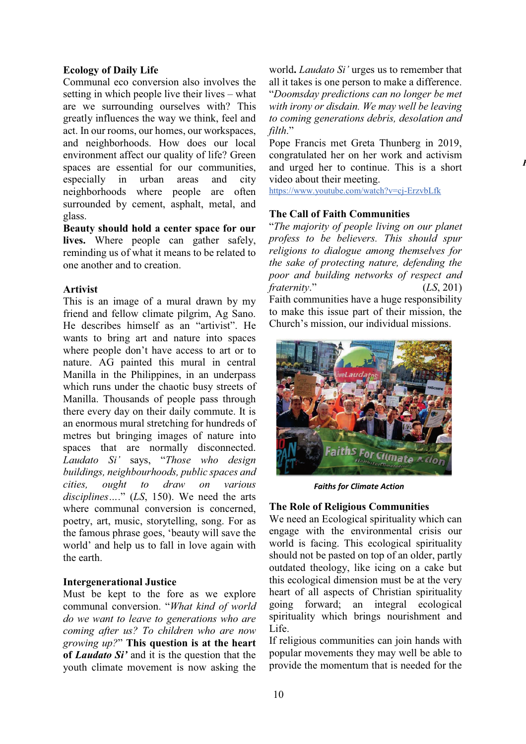### **Ecology of Daily Life**

Communal eco conversion also involves the setting in which people live their lives  $-\text{what}$ are we surrounding ourselves with? This greatly influences the way we think, feel and act. In our rooms, our homes, our workspaces, and neighborhoods. How does our local environment affect our quality of life? Green spaces are essential for our communities, especially in urban areas and city neighborhoods where people are often surrounded by cement, asphalt, metal, and glass.

**Beauty should hold a center space for our lives.** Where people can gather safely, reminding us of what it means to be related to one another and to creation.

### **Artivist**

This is an image of a mural drawn by my friend and fellow climate pilgrim, Ag Sano. He describes himself as an "artivist". He wants to bring art and nature into spaces where people don't have access to art or to nature. AG painted this mural in central Manilla in the Philippines, in an underpass which runs under the chaotic busy streets of Manilla. Thousands of people pass through there every day on their daily commute. It is an enormous mural stretching for hundreds of metres but bringing images of nature into spaces that are normally disconnected. *Laudato* Si' says, "Those who design *buildings, neighbourhoods, public spaces and cities, ought to draw on various disciplines....*" (*LS*, 150). We need the arts where communal conversion is concerned, poetry, art, music, storytelling, song. For as the famous phrase goes, 'beauty will save the world' and help us to fall in love again with the earth.

### **Intergenerational Justice**

Must be kept to the fore as we explore communal conversion. "What kind of world *do we want to leave to generations who are coming after us? To children who are now growing up?*´**This question is at the heart**  of *Laudato Si'* and it is the question that the youth climate movement is now asking the

world. *Laudato Si*<sup> $'$ </sup> urges us to remember that all it takes is one person to make a difference. ³*Doomsday predictions can no longer be met with irony or disdain. We may well be leaving to coming generations debris, desolation and filth*´

Pope Francis met Greta Thunberg in 2019, congratulated her on her work and activism and urged her to continue. This is a short video about their meeting.

*F*

https://www.youtube.com/watch?v=cj-ErzvbLfk

### **The Call of Faith Communities**

³*The majority of people living on our planet profess to be believers. This should spur religions to dialogue among themselves for the sake of protecting nature, defending the poor and building networks of respect and fraternity*.<sup>"</sup> (*LS*, 201) Faith communities have a huge responsibility to make this issue part of their mission, the Church's mission, our individual missions.



*Faiths for Climate Action* 

### **The Role of Religious Communities**

We need an Ecological spirituality which can engage with the environmental crisis our world is facing. This ecological spirituality should not be pasted on top of an older, partly outdated theology, like icing on a cake but this ecological dimension must be at the very heart of all aspects of Christian spirituality going forward; an integral ecological spirituality which brings nourishment and Life.

If religious communities can join hands with popular movements they may well be able to provide the momentum that is needed for the